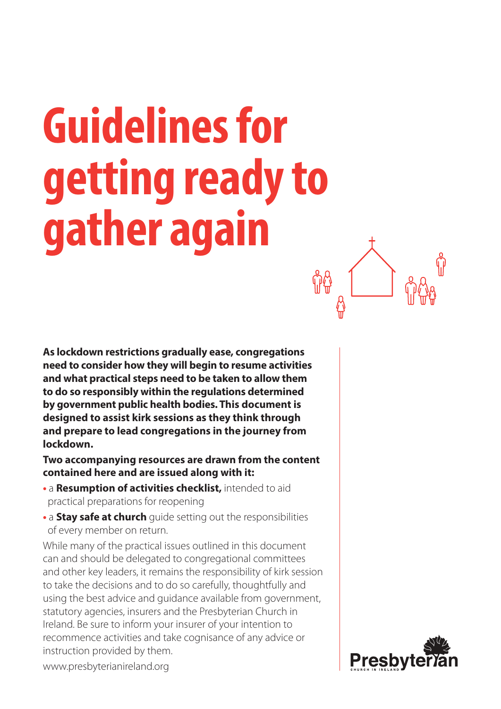# **Guidelines for getting ready to gather again**

**As lockdown restrictions gradually ease, congregations need to consider how they will begin to resume activities and what practical steps need to be taken to allow them to do so responsibly within the regulations determined by government public health bodies. This document is designed to assist kirk sessions as they think through and prepare to lead congregations in the journey from lockdown.** 

**Two accompanying resources are drawn from the content contained here and are issued along with it:**

- **•** a **Resumption of activities checklist,** intended to aid practical preparations for reopening
- **•** a **Stay safe at church** guide setting out the responsibilities of every member on return.

While many of the practical issues outlined in this document can and should be delegated to congregational committees and other key leaders, it remains the responsibility of kirk session to take the decisions and to do so carefully, thoughtfully and using the best advice and guidance available from government, statutory agencies, insurers and the Presbyterian Church in Ireland. Be sure to inform your insurer of your intention to recommence activities and take cognisance of any advice or instruction provided by them.



www.presbyterianireland.org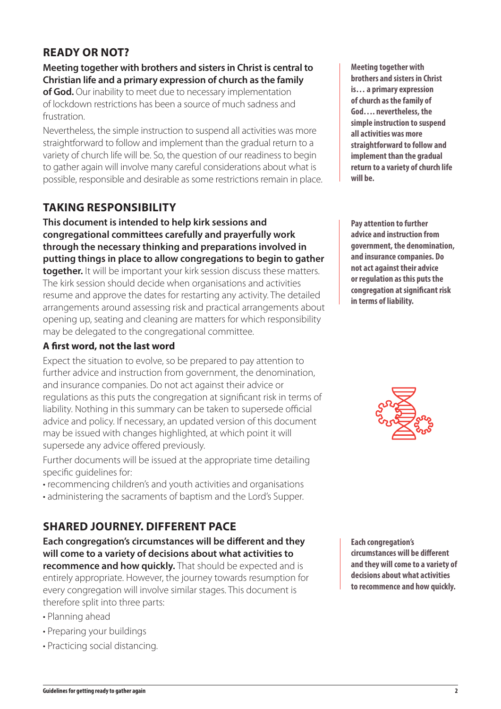## **READY OR NOT?**

#### **Meeting together with brothers and sisters in Christ is central to Christian life and a primary expression of church as the family**

**of God.** Our inability to meet due to necessary implementation of lockdown restrictions has been a source of much sadness and frustration.

Nevertheless, the simple instruction to suspend all activities was more straightforward to follow and implement than the gradual return to a variety of church life will be. So, the question of our readiness to begin to gather again will involve many careful considerations about what is possible, responsible and desirable as some restrictions remain in place.

# **TAKING RESPONSIBILITY**

**This document is intended to help kirk sessions and congregational committees carefully and prayerfully work through the necessary thinking and preparations involved in putting things in place to allow congregations to begin to gather together.** It will be important your kirk session discuss these matters. The kirk session should decide when organisations and activities

resume and approve the dates for restarting any activity. The detailed arrangements around assessing risk and practical arrangements about opening up, seating and cleaning are matters for which responsibility may be delegated to the congregational committee.

#### **A first word, not the last word**

Expect the situation to evolve, so be prepared to pay attention to further advice and instruction from government, the denomination, and insurance companies. Do not act against their advice or regulations as this puts the congregation at significant risk in terms of liability. Nothing in this summary can be taken to supersede official advice and policy. If necessary, an updated version of this document may be issued with changes highlighted, at which point it will supersede any advice offered previously.

Further documents will be issued at the appropriate time detailing specific guidelines for:

- recommencing children's and youth activities and organisations
- administering the sacraments of baptism and the Lord's Supper.

# **SHARED JOURNEY. DIFFERENT PACE**

**Each congregation's circumstances will be different and they will come to a variety of decisions about what activities to recommence and how quickly.** That should be expected and is entirely appropriate. However, the journey towards resumption for every congregation will involve similar stages. This document is therefore split into three parts:

• Planning ahead

- Preparing your buildings
- Practicing social distancing.

**Meeting together with brothers and sisters in Christ is… a primary expression of church as the family of God…. nevertheless, the simple instruction to suspend all activities was more straightforward to follow and implement than the gradual return to a variety of church life will be.**

**Pay attention to further advice and instruction from government, the denomination, and insurance companies. Do not act against their advice or regulation as this puts the congregation at significant risk in terms of liability.**



**Each congregation's circumstances will be different and they will come to a variety of decisions about what activities to recommence and how quickly.**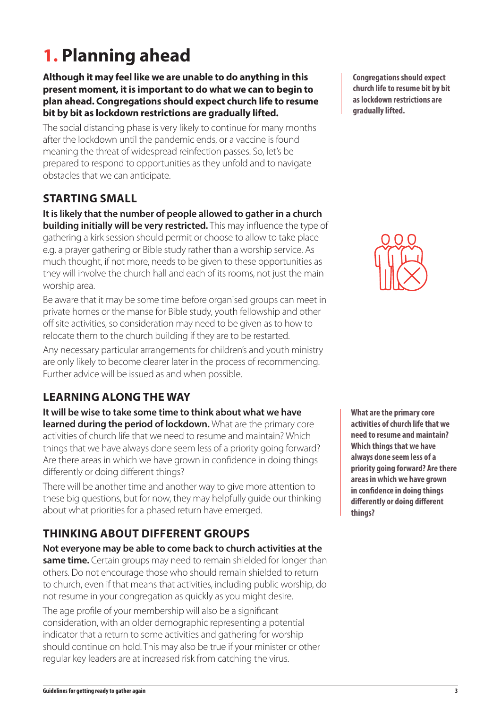# **1. Planning ahead**

**Although it may feel like we are unable to do anything in this present moment, it is important to do what we can to begin to plan ahead. Congregations should expect church life to resume bit by bit as lockdown restrictions are gradually lifted.**

The social distancing phase is very likely to continue for many months after the lockdown until the pandemic ends, or a vaccine is found meaning the threat of widespread reinfection passes. So, let's be prepared to respond to opportunities as they unfold and to navigate obstacles that we can anticipate.

# **STARTING SMALL**

**It is likely that the number of people allowed to gather in a church building initially will be very restricted.** This may influence the type of gathering a kirk session should permit or choose to allow to take place e.g. a prayer gathering or Bible study rather than a worship service. As much thought, if not more, needs to be given to these opportunities as they will involve the church hall and each of its rooms, not just the main worship area.

Be aware that it may be some time before organised groups can meet in private homes or the manse for Bible study, youth fellowship and other off site activities, so consideration may need to be given as to how to relocate them to the church building if they are to be restarted.

Any necessary particular arrangements for children's and youth ministry are only likely to become clearer later in the process of recommencing. Further advice will be issued as and when possible.

# **LEARNING ALONG THE WAY**

**It will be wise to take some time to think about what we have learned during the period of lockdown.** What are the primary core activities of church life that we need to resume and maintain? Which things that we have always done seem less of a priority going forward? Are there areas in which we have grown in confidence in doing things differently or doing different things?

There will be another time and another way to give more attention to these big questions, but for now, they may helpfully guide our thinking about what priorities for a phased return have emerged.

# **THINKING ABOUT DIFFERENT GROUPS**

**Not everyone may be able to come back to church activities at the same time.** Certain groups may need to remain shielded for longer than others. Do not encourage those who should remain shielded to return to church, even if that means that activities, including public worship, do not resume in your congregation as quickly as you might desire.

The age profile of your membership will also be a significant consideration, with an older demographic representing a potential indicator that a return to some activities and gathering for worship should continue on hold. This may also be true if your minister or other regular key leaders are at increased risk from catching the virus.

**Congregations should expect church life to resume bit by bit as lockdown restrictions are gradually lifted.** 



**What are the primary core activities of church life that we need to resume and maintain? Which things that we have always done seem less of a priority going forward? Are there areas in which we have grown in confidence in doing things differently or doing different things?**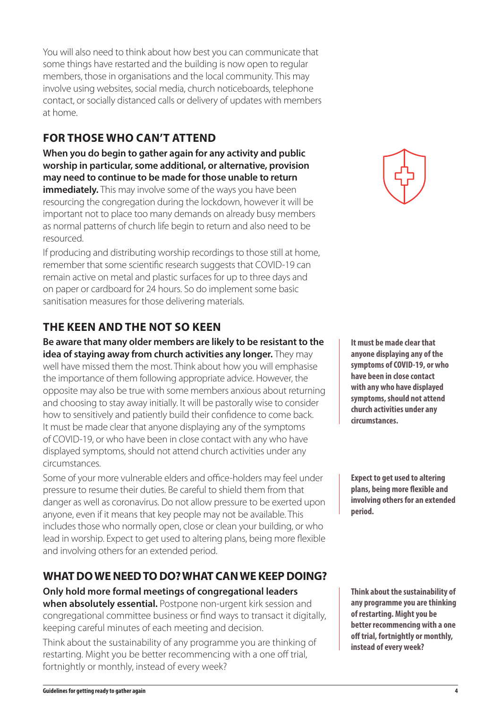You will also need to think about how best you can communicate that some things have restarted and the building is now open to regular members, those in organisations and the local community. This may involve using websites, social media, church noticeboards, telephone contact, or socially distanced calls or delivery of updates with members at home.

# **FOR THOSE WHO CAN'T ATTEND**

**When you do begin to gather again for any activity and public worship in particular, some additional, or alternative, provision may need to continue to be made for those unable to return immediately.** This may involve some of the ways you have been resourcing the congregation during the lockdown, however it will be important not to place too many demands on already busy members as normal patterns of church life begin to return and also need to be resourced.

If producing and distributing worship recordings to those still at home, remember that some scientific research suggests that COVID-19 can remain active on metal and plastic surfaces for up to three days and on paper or cardboard for 24 hours. So do implement some basic sanitisation measures for those delivering materials.

# **THE KEEN AND THE NOT SO KEEN**

**Be aware that many older members are likely to be resistant to the idea of staying away from church activities any longer.** They may well have missed them the most. Think about how you will emphasise the importance of them following appropriate advice. However, the opposite may also be true with some members anxious about returning and choosing to stay away initially. It will be pastorally wise to consider how to sensitively and patiently build their confidence to come back. It must be made clear that anyone displaying any of the symptoms of COVID-19, or who have been in close contact with any who have displayed symptoms, should not attend church activities under any circumstances.

Some of your more vulnerable elders and office-holders may feel under pressure to resume their duties. Be careful to shield them from that danger as well as coronavirus. Do not allow pressure to be exerted upon anyone, even if it means that key people may not be available. This includes those who normally open, close or clean your building, or who lead in worship. Expect to get used to altering plans, being more flexible and involving others for an extended period.

# **WHAT DO WE NEED TO DO? WHAT CAN WE KEEP DOING?**

**Only hold more formal meetings of congregational leaders when absolutely essential.** Postpone non-urgent kirk session and congregational committee business or find ways to transact it digitally, keeping careful minutes of each meeting and decision.

Think about the sustainability of any programme you are thinking of restarting. Might you be better recommencing with a one off trial, fortnightly or monthly, instead of every week?

**It must be made clear that anyone displaying any of the symptoms of COVID-19, or who have been in close contact with any who have displayed symptoms, should not attend church activities under any circumstances.**

**Expect to get used to altering plans, being more flexible and involving others for an extended period.** 

**Think about the sustainability of any programme you are thinking of restarting. Might you be better recommencing with a one off trial, fortnightly or monthly, instead of every week?** 

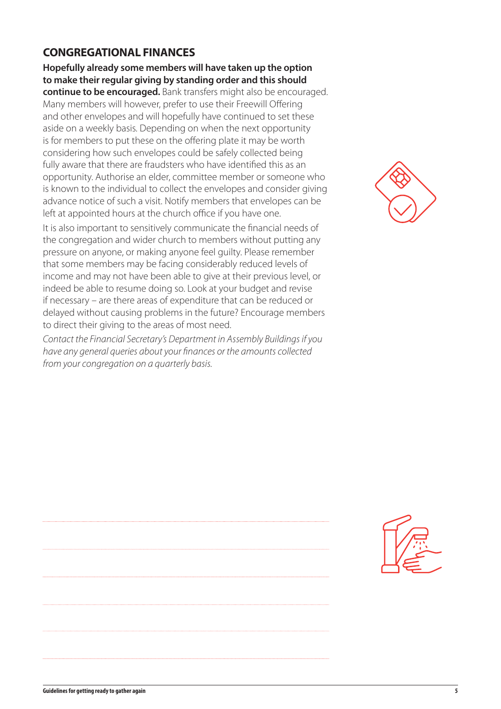### **CONGREGATIONAL FINANCES**

**Hopefully already some members will have taken up the option to make their regular giving by standing order and this should** 

**continue to be encouraged.** Bank transfers might also be encouraged. Many members will however, prefer to use their Freewill Offering and other envelopes and will hopefully have continued to set these aside on a weekly basis. Depending on when the next opportunity is for members to put these on the offering plate it may be worth considering how such envelopes could be safely collected being fully aware that there are fraudsters who have identified this as an opportunity. Authorise an elder, committee member or someone who is known to the individual to collect the envelopes and consider giving advance notice of such a visit. Notify members that envelopes can be left at appointed hours at the church office if you have one.

It is also important to sensitively communicate the financial needs of the congregation and wider church to members without putting any pressure on anyone, or making anyone feel guilty. Please remember that some members may be facing considerably reduced levels of income and may not have been able to give at their previous level, or indeed be able to resume doing so. Look at your budget and revise if necessary – are there areas of expenditure that can be reduced or delayed without causing problems in the future? Encourage members to direct their giving to the areas of most need.

*Contact the Financial Secretary's Department in Assembly Buildings if you have any general queries about your finances or the amounts collected from your congregation on a quarterly basis.*



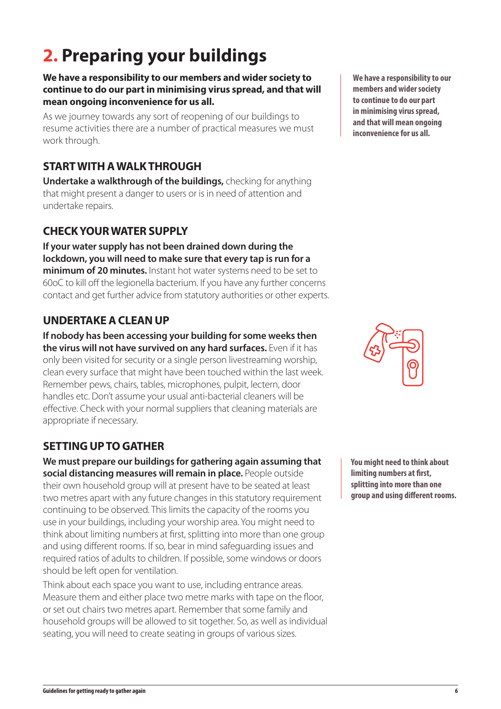# **2. Preparing your buildings**

#### **We have a responsibility to our members and wider society to continue to do our part in minimising virus spread, and that will mean ongoing inconvenience for us all.**

As we journey towards any sort of reopening of our buildings to resume activities there are a number of practical measures we must work through.

# **START WITH A WALK THROUGH**

**Undertake a walkthrough of the buildings,** checking for anything that might present a danger to users or is in need of attention and undertake repairs.

# **CHECK YOUR WATER SUPPLY**

**If your water supply has not been drained down during the lockdown, you will need to make sure that every tap is run for a minimum of 20 minutes.** Instant hot water systems need to be set to 60oC to kill off the legionella bacterium. If you have any further concerns contact and get further advice from statutory authorities or other experts.

# **UNDERTAKE A CLEAN UP**

**If nobody has been accessing your building for some weeks then the virus will not have survived on any hard surfaces.** Even if it has only been visited for security or a single person livestreaming worship, clean every surface that might have been touched within the last week. Remember pews, chairs, tables, microphones, pulpit, lectern, door handles etc. Don't assume your usual anti-bacterial cleaners will be effective. Check with your normal suppliers that cleaning materials are appropriate if necessary.

# **SETTING UP TO GATHER**

**We must prepare our buildings for gathering again assuming that social distancing measures will remain in place.** People outside their own household group will at present have to be seated at least two metres apart with any future changes in this statutory requirement continuing to be observed. This limits the capacity of the rooms you use in your buildings, including your worship area. You might need to think about limiting numbers at first, splitting into more than one group and using different rooms. If so, bear in mind safeguarding issues and required ratios of adults to children. If possible, some windows or doors should be left open for ventilation.

Think about each space you want to use, including entrance areas. Measure them and either place two metre marks with tape on the floor, or set out chairs two metres apart. Remember that some family and household groups will be allowed to sit together. So, as well as individual seating, you will need to create seating in groups of various sizes.

**We have a responsibility to our members and wider society to continue to do our part in minimising virus spread, and that will mean ongoing inconvenience for us all.**

**You might need to think about limiting numbers at first, splitting into more than one group and using different rooms.**

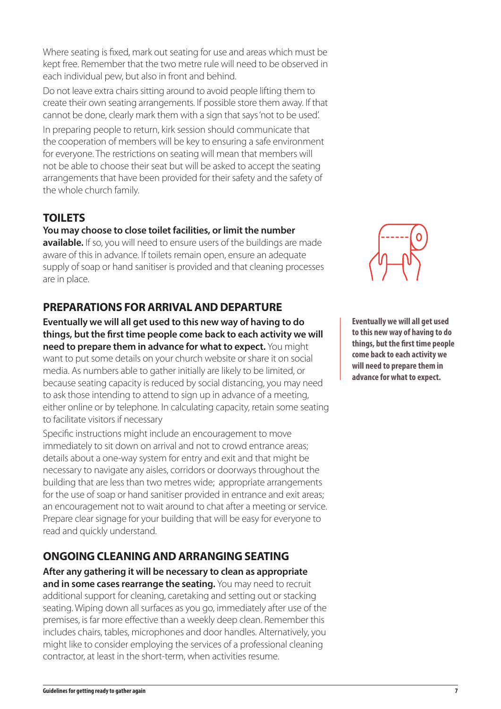Where seating is fixed, mark out seating for use and areas which must be kept free. Remember that the two metre rule will need to be observed in each individual pew, but also in front and behind.

Do not leave extra chairs sitting around to avoid people lifting them to create their own seating arrangements. If possible store them away. If that cannot be done, clearly mark them with a sign that says 'not to be used'.

In preparing people to return, kirk session should communicate that the cooperation of members will be key to ensuring a safe environment for everyone. The restrictions on seating will mean that members will not be able to choose their seat but will be asked to accept the seating arrangements that have been provided for their safety and the safety of the whole church family.

# **TOILETS**

#### **You may choose to close toilet facilities, or limit the number**

available. If so, you will need to ensure users of the buildings are made aware of this in advance. If toilets remain open, ensure an adequate supply of soap or hand sanitiser is provided and that cleaning processes are in place.

## **PREPARATIONS FOR ARRIVAL AND DEPARTURE**

**Eventually we will all get used to this new way of having to do things, but the first time people come back to each activity we will need to prepare them in advance for what to expect.** You might want to put some details on your church website or share it on social media. As numbers able to gather initially are likely to be limited, or because seating capacity is reduced by social distancing, you may need to ask those intending to attend to sign up in advance of a meeting, either online or by telephone. In calculating capacity, retain some seating to facilitate visitors if necessary

Specific instructions might include an encouragement to move immediately to sit down on arrival and not to crowd entrance areas; details about a one-way system for entry and exit and that might be necessary to navigate any aisles, corridors or doorways throughout the building that are less than two metres wide; appropriate arrangements for the use of soap or hand sanitiser provided in entrance and exit areas; an encouragement not to wait around to chat after a meeting or service. Prepare clear signage for your building that will be easy for everyone to read and quickly understand.

# **ONGOING CLEANING AND ARRANGING SEATING**

**After any gathering it will be necessary to clean as appropriate**  and in some cases rearrange the seating. You may need to recruit additional support for cleaning, caretaking and setting out or stacking seating. Wiping down all surfaces as you go, immediately after use of the premises, is far more effective than a weekly deep clean. Remember this includes chairs, tables, microphones and door handles. Alternatively, you might like to consider employing the services of a professional cleaning contractor, at least in the short-term, when activities resume.



**Eventually we will all get used to this new way of having to do things, but the first time people come back to each activity we will need to prepare them in advance for what to expect.**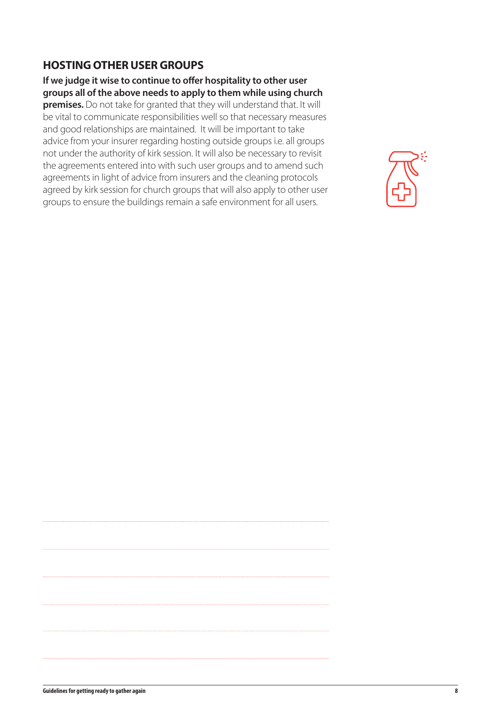#### **HOSTING OTHER USER GROUPS**

**If we judge it wise to continue to offer hospitality to other user groups all of the above needs to apply to them while using church premises.** Do not take for granted that they will understand that. It will be vital to communicate responsibilities well so that necessary measures and good relationships are maintained. It will be important to take advice from your insurer regarding hosting outside groups i.e. all groups not under the authority of kirk session. It will also be necessary to revisit the agreements entered into with such user groups and to amend such agreements in light of advice from insurers and the cleaning protocols agreed by kirk session for church groups that will also apply to other user groups to ensure the buildings remain a safe environment for all users.

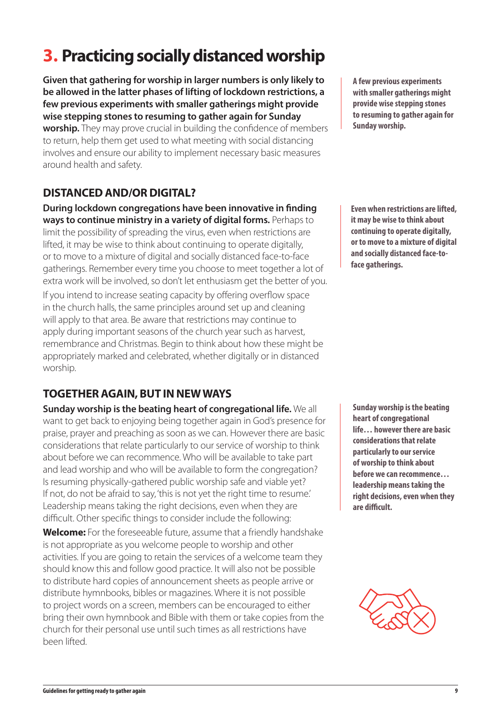# **3. Practicing socially distanced worship**

**Given that gathering for worship in larger numbers is only likely to be allowed in the latter phases of lifting of lockdown restrictions, a few previous experiments with smaller gatherings might provide wise stepping stones to resuming to gather again for Sunday worship.** They may prove crucial in building the confidence of members to return, help them get used to what meeting with social distancing involves and ensure our ability to implement necessary basic measures around health and safety.

## **DISTANCED AND/OR DIGITAL?**

**During lockdown congregations have been innovative in finding ways to continue ministry in a variety of digital forms.** Perhaps to limit the possibility of spreading the virus, even when restrictions are lifted, it may be wise to think about continuing to operate digitally, or to move to a mixture of digital and socially distanced face-to-face gatherings. Remember every time you choose to meet together a lot of extra work will be involved, so don't let enthusiasm get the better of you.

If you intend to increase seating capacity by offering overflow space in the church halls, the same principles around set up and cleaning will apply to that area. Be aware that restrictions may continue to apply during important seasons of the church year such as harvest, remembrance and Christmas. Begin to think about how these might be appropriately marked and celebrated, whether digitally or in distanced worship.

# **TOGETHER AGAIN, BUT IN NEW WAYS**

**Sunday worship is the beating heart of congregational life.** We all want to get back to enjoying being together again in God's presence for praise, prayer and preaching as soon as we can. However there are basic considerations that relate particularly to our service of worship to think about before we can recommence. Who will be available to take part and lead worship and who will be available to form the congregation? Is resuming physically-gathered public worship safe and viable yet? If not, do not be afraid to say, 'this is not yet the right time to resume.' Leadership means taking the right decisions, even when they are difficult. Other specific things to consider include the following:

**Welcome:** For the foreseeable future, assume that a friendly handshake is not appropriate as you welcome people to worship and other activities. If you are going to retain the services of a welcome team they should know this and follow good practice. It will also not be possible to distribute hard copies of announcement sheets as people arrive or distribute hymnbooks, bibles or magazines. Where it is not possible to project words on a screen, members can be encouraged to either bring their own hymnbook and Bible with them or take copies from the church for their personal use until such times as all restrictions have been lifted.

**A few previous experiments with smaller gatherings might provide wise stepping stones to resuming to gather again for Sunday worship.**

**Even when restrictions are lifted, it may be wise to think about continuing to operate digitally, or to move to a mixture of digital and socially distanced face-toface gatherings.** 

**Sunday worship is the beating heart of congregational life… however there are basic considerations that relate particularly to our service of worship to think about before we can recommence… leadership means taking the right decisions, even when they are difficult.**

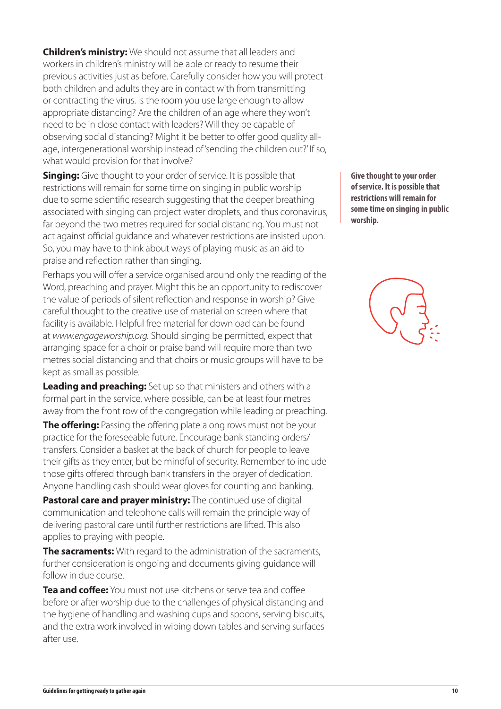**Children's ministry:** We should not assume that all leaders and workers in children's ministry will be able or ready to resume their previous activities just as before. Carefully consider how you will protect both children and adults they are in contact with from transmitting or contracting the virus. Is the room you use large enough to allow appropriate distancing? Are the children of an age where they won't need to be in close contact with leaders? Will they be capable of observing social distancing? Might it be better to offer good quality allage, intergenerational worship instead of 'sending the children out?' If so, what would provision for that involve?

**Singing:** Give thought to your order of service. It is possible that restrictions will remain for some time on singing in public worship due to some scientific research suggesting that the deeper breathing associated with singing can project water droplets, and thus coronavirus, far beyond the two metres required for social distancing. You must not act against official guidance and whatever restrictions are insisted upon. So, you may have to think about ways of playing music as an aid to praise and reflection rather than singing.

Perhaps you will offer a service organised around only the reading of the Word, preaching and prayer. Might this be an opportunity to rediscover the value of periods of silent reflection and response in worship? Give careful thought to the creative use of material on screen where that facility is available. Helpful free material for download can be found at *www.engageworship.org.* Should singing be permitted, expect that arranging space for a choir or praise band will require more than two metres social distancing and that choirs or music groups will have to be kept as small as possible.

**Leading and preaching:** Set up so that ministers and others with a formal part in the service, where possible, can be at least four metres away from the front row of the congregation while leading or preaching.

**The offering:** Passing the offering plate along rows must not be your practice for the foreseeable future. Encourage bank standing orders/ transfers. Consider a basket at the back of church for people to leave their gifts as they enter, but be mindful of security. Remember to include those gifts offered through bank transfers in the prayer of dedication. Anyone handling cash should wear gloves for counting and banking.

**Pastoral care and prayer ministry:** The continued use of digital communication and telephone calls will remain the principle way of delivering pastoral care until further restrictions are lifted. This also applies to praying with people.

**The sacraments:** With regard to the administration of the sacraments, further consideration is ongoing and documents giving guidance will follow in due course.

**Tea and coffee:** You must not use kitchens or serve tea and coffee before or after worship due to the challenges of physical distancing and the hygiene of handling and washing cups and spoons, serving biscuits, and the extra work involved in wiping down tables and serving surfaces after use.

**Give thought to your order of service. It is possible that restrictions will remain for some time on singing in public worship.**